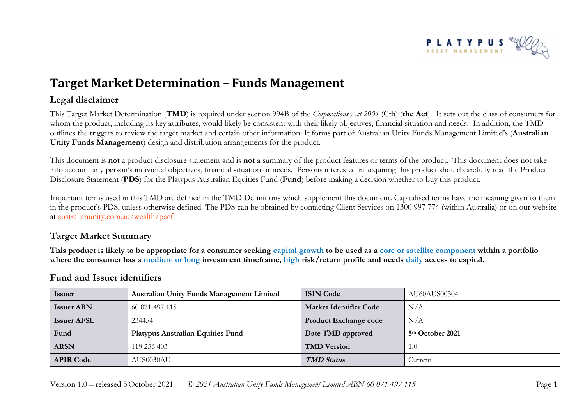

# **Target Market Determination – Funds Management**

## **Legal disclaimer**

This Target Market Determination (**TMD**) is required under section 994B of the *Corporations Act 2001* (Cth) (**the Act**). It sets out the class of consumers for whom the product, including its key attributes, would likely be consistent with their likely objectives, financial situation and needs. In addition, the TMD outlines the triggers to review the target market and certain other information. It forms part of Australian Unity Funds Management Limited's (**Australian Unity Funds Management**) design and distribution arrangements for the product.

This document is **not** a product disclosure statement and is **not** a summary of the product features or terms of the product. This document does not take into account any person's individual objectives, financial situation or needs. Persons interested in acquiring this product should carefully read the Product Disclosure Statement (**PDS**) for the Platypus Australian Equities Fund (**Fund**) before making a decision whether to buy this product.

Important terms used in this TMD are defined in the TMD Definitions which supplement this document. Capitalised terms have the meaning given to them in the product's PDS, unless otherwise defined. The PDS can be obtained by contacting Client Services on 1300 997 774 (within Australia) or on our website at [australianunity.com.au/wealth/paef.](https://www.australianunity.com.au/wealth/~/media/publicsite/documents/funds/platypus/paef/pds.ashx)

# **Target Market Summary**

**This product is likely to be appropriate for a consumer seeking capital growth to be used as a core or satellite component within a portfolio where the consumer has a medium or long investment timeframe, high risk/return profile and needs daily access to capital.**

| <b>Issuer</b>      | <b>Australian Unity Funds Management Limited</b> | <b>ISIN Code</b>              | AU60AUS00304                 |
|--------------------|--------------------------------------------------|-------------------------------|------------------------------|
| <b>Issuer ABN</b>  | 60 071 497 115                                   | <b>Market Identifier Code</b> | N/A                          |
| <b>Issuer AFSL</b> | 234454                                           | <b>Product Exchange code</b>  | N/A                          |
| Fund               | <b>Platypus Australian Equities Fund</b>         | Date TMD approved             | 5 <sup>th</sup> October 2021 |
| <b>ARSN</b>        | 119 236 403                                      | <b>TMD</b> Version            | 1.0                          |
| <b>APIR Code</b>   | AUS0030AU                                        | <b>TMD</b> Status             | Current                      |

### **Fund and Issuer identifiers**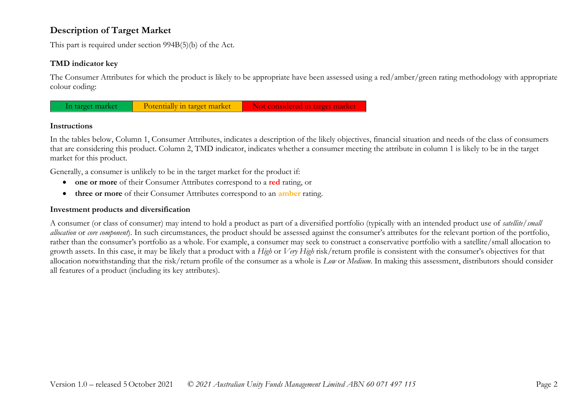# **Description of Target Market**

This part is required under section 994B(5)(b) of the Act.

#### **TMD indicator key**

The Consumer Attributes for which the product is likely to be appropriate have been assessed using a red/amber/green rating methodology with appropriate colour coding:



#### **Instructions**

In the tables below, Column 1, Consumer Attributes, indicates a description of the likely objectives, financial situation and needs of the class of consumers that are considering this product. Column 2, TMD indicator, indicates whether a consumer meeting the attribute in column 1 is likely to be in the target market for this product.

Generally, a consumer is unlikely to be in the target market for the product if:

- **one or more** of their Consumer Attributes correspond to a **red** rating, or
- **three or more** of their Consumer Attributes correspond to an **amber** rating.

#### **Investment products and diversification**

A consumer (or class of consumer) may intend to hold a product as part of a diversified portfolio (typically with an intended product use of *satellite/small allocation* or *core component*). In such circumstances, the product should be assessed against the consumer's attributes for the relevant portion of the portfolio, rather than the consumer's portfolio as a whole. For example, a consumer may seek to construct a conservative portfolio with a satellite/small allocation to growth assets. In this case, it may be likely that a product with a *High* or *Very High* risk/return profile is consistent with the consumer's objectives for that allocation notwithstanding that the risk/return profile of the consumer as a whole is *Low* or *Medium*. In making this assessment, distributors should consider all features of a product (including its key attributes).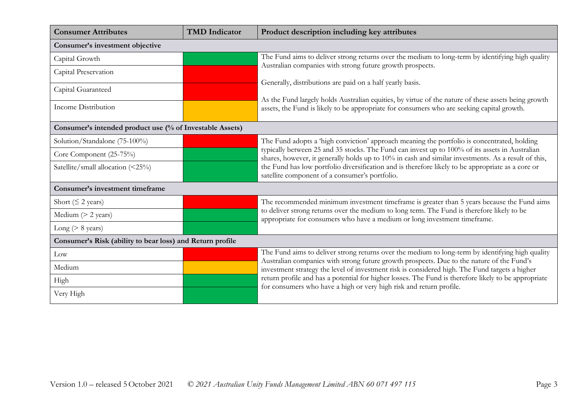| <b>Consumer Attributes</b>                                | <b>TMD</b> Indicator | Product description including key attributes                                                                                                                                                                                                                                  |  |
|-----------------------------------------------------------|----------------------|-------------------------------------------------------------------------------------------------------------------------------------------------------------------------------------------------------------------------------------------------------------------------------|--|
| Consumer's investment objective                           |                      |                                                                                                                                                                                                                                                                               |  |
| Capital Growth                                            |                      | The Fund aims to deliver strong returns over the medium to long-term by identifying high quality<br>Australian companies with strong future growth prospects.                                                                                                                 |  |
| Capital Preservation                                      |                      |                                                                                                                                                                                                                                                                               |  |
| Capital Guaranteed                                        |                      | Generally, distributions are paid on a half yearly basis.                                                                                                                                                                                                                     |  |
| Income Distribution                                       |                      | As the Fund largely holds Australian equities, by virtue of the nature of these assets being growth<br>assets, the Fund is likely to be appropriate for consumers who are seeking capital growth.                                                                             |  |
| Consumer's intended product use (% of Investable Assets)  |                      |                                                                                                                                                                                                                                                                               |  |
| Solution/Standalone (75-100%)                             |                      | The Fund adopts a 'high conviction' approach meaning the portfolio is concentrated, holding                                                                                                                                                                                   |  |
| Core Component (25-75%)                                   |                      | typically between 25 and 35 stocks. The Fund can invest up to 100% of its assets in Australian<br>shares, however, it generally holds up to 10% in cash and similar investments. As a result of this,                                                                         |  |
| Satellite/small allocation (<25%)                         |                      | the Fund has low portfolio diversification and is therefore likely to be appropriate as a core or<br>satellite component of a consumer's portfolio.                                                                                                                           |  |
| Consumer's investment timeframe                           |                      |                                                                                                                                                                                                                                                                               |  |
| Short ( $\leq$ 2 years)                                   |                      | The recommended minimum investment timeframe is greater than 5 years because the Fund aims                                                                                                                                                                                    |  |
| Medium $(> 2 \text{ years})$                              |                      | to deliver strong returns over the medium to long term. The Fund is therefore likely to be<br>appropriate for consumers who have a medium or long investment timeframe.                                                                                                       |  |
| Long ( $> 8$ years)                                       |                      |                                                                                                                                                                                                                                                                               |  |
| Consumer's Risk (ability to bear loss) and Return profile |                      |                                                                                                                                                                                                                                                                               |  |
| Low                                                       |                      | The Fund aims to deliver strong returns over the medium to long-term by identifying high quality<br>Australian companies with strong future growth prospects. Due to the nature of the Fund's                                                                                 |  |
| Medium                                                    |                      | investment strategy the level of investment risk is considered high. The Fund targets a higher<br>return profile and has a potential for higher losses. The Fund is therefore likely to be appropriate<br>for consumers who have a high or very high risk and return profile. |  |
| High                                                      |                      |                                                                                                                                                                                                                                                                               |  |
| Very High                                                 |                      |                                                                                                                                                                                                                                                                               |  |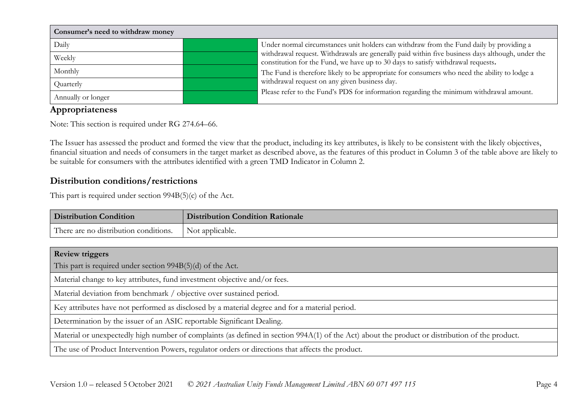| Consumer's need to withdraw money |                                                                                                                                                                                      |
|-----------------------------------|--------------------------------------------------------------------------------------------------------------------------------------------------------------------------------------|
| Daily                             | Under normal circumstances unit holders can withdraw from the Fund daily by providing a                                                                                              |
| Weekly                            | withdrawal request. Withdrawals are generally paid within five business days although, under the<br>constitution for the Fund, we have up to 30 days to satisfy withdrawal requests. |
| Monthly                           | The Fund is therefore likely to be appropriate for consumers who need the ability to lodge a                                                                                         |
| Quarterly                         | withdrawal request on any given business day.                                                                                                                                        |
| Annually or longer                | Please refer to the Fund's PDS for information regarding the minimum withdrawal amount.                                                                                              |

# **Appropriateness**

Note: This section is required under RG 274.64–66.

The Issuer has assessed the product and formed the view that the product, including its key attributes, is likely to be consistent with the likely objectives, financial situation and needs of consumers in the target market as described above, as the features of this product in Column 3 of the table above are likely to be suitable for consumers with the attributes identified with a green TMD Indicator in Column 2.

# **Distribution conditions/restrictions**

This part is required under section 994B(5)(c) of the Act.

| <b>Distribution Condition</b>                                                                                                                   | <b>Distribution Condition Rationale</b> |  |  |
|-------------------------------------------------------------------------------------------------------------------------------------------------|-----------------------------------------|--|--|
| There are no distribution conditions.                                                                                                           | Not applicable.                         |  |  |
|                                                                                                                                                 |                                         |  |  |
| <b>Review triggers</b>                                                                                                                          |                                         |  |  |
| This part is required under section $994B(5)(d)$ of the Act.                                                                                    |                                         |  |  |
| Material change to key attributes, fund investment objective and/or fees.                                                                       |                                         |  |  |
| Material deviation from benchmark / objective over sustained period.                                                                            |                                         |  |  |
| Key attributes have not performed as disclosed by a material degree and for a material period.                                                  |                                         |  |  |
| Determination by the issuer of an ASIC reportable Significant Dealing.                                                                          |                                         |  |  |
| Material or unexpectedly high number of complaints (as defined in section 994A(1) of the Act) about the product or distribution of the product. |                                         |  |  |
| The use of Product Intervention Powers, regulator orders or directions that affects the product.                                                |                                         |  |  |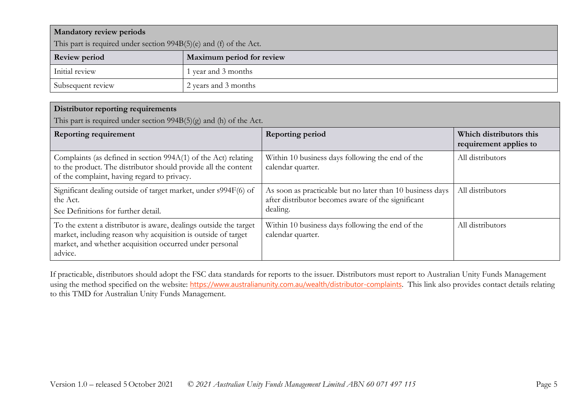| <b>Mandatory review periods</b>                                    |                           |  |
|--------------------------------------------------------------------|---------------------------|--|
| This part is required under section 994B(5)(e) and (f) of the Act. |                           |  |
| <b>Review period</b>                                               | Maximum period for review |  |
| Initial review                                                     | year and 3 months         |  |
| Subsequent review                                                  | 2 years and 3 months      |  |

#### **Distributor reporting requirements**

This part is required under section  $994B(5)(g)$  and (h) of the Act.

| <b>Reporting requirement</b>                                                                                                                                                                             | <b>Reporting period</b>                                                                                                     | Which distributors this<br>requirement applies to |
|----------------------------------------------------------------------------------------------------------------------------------------------------------------------------------------------------------|-----------------------------------------------------------------------------------------------------------------------------|---------------------------------------------------|
| Complaints (as defined in section 994A(1) of the Act) relating<br>to the product. The distributor should provide all the content<br>of the complaint, having regard to privacy.                          | Within 10 business days following the end of the<br>calendar quarter.                                                       | All distributors                                  |
| Significant dealing outside of target market, under s994F(6) of<br>the Act.<br>See Definitions for further detail.                                                                                       | As soon as practicable but no later than 10 business days<br>after distributor becomes aware of the significant<br>dealing. | All distributors                                  |
| To the extent a distributor is aware, dealings outside the target<br>market, including reason why acquisition is outside of target<br>market, and whether acquisition occurred under personal<br>advice. | Within 10 business days following the end of the<br>calendar quarter.                                                       | All distributors                                  |

If practicable, distributors should adopt the FSC data standards for reports to the issuer. Distributors must report to Australian Unity Funds Management using the method specified on the website: <https://www.australianunity.com.au/wealth/distributor-complaints>. This link also provides contact details relating to this TMD for Australian Unity Funds Management.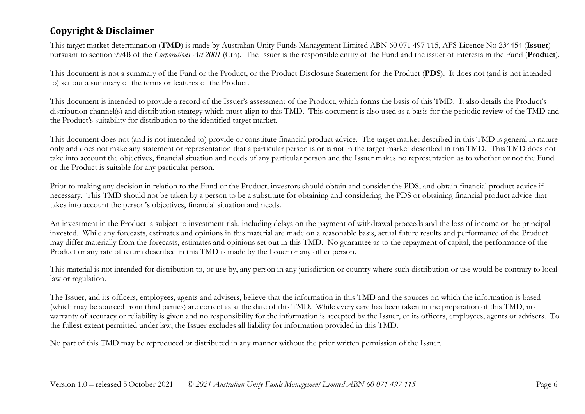# **Copyright & Disclaimer**

This target market determination (**TMD**) is made by Australian Unity Funds Management Limited ABN 60 071 497 115, AFS Licence No 234454 (**Issuer**) pursuant to section 994B of the *Corporations Act 2001* (Cth). The Issuer is the responsible entity of the Fund and the issuer of interests in the Fund (**Product**).

This document is not a summary of the Fund or the Product, or the Product Disclosure Statement for the Product (**PDS**). It does not (and is not intended to) set out a summary of the terms or features of the Product.

This document is intended to provide a record of the Issuer's assessment of the Product, which forms the basis of this TMD. It also details the Product's distribution channel(s) and distribution strategy which must align to this TMD. This document is also used as a basis for the periodic review of the TMD and the Product's suitability for distribution to the identified target market.

This document does not (and is not intended to) provide or constitute financial product advice. The target market described in this TMD is general in nature only and does not make any statement or representation that a particular person is or is not in the target market described in this TMD. This TMD does not take into account the objectives, financial situation and needs of any particular person and the Issuer makes no representation as to whether or not the Fund or the Product is suitable for any particular person.

Prior to making any decision in relation to the Fund or the Product, investors should obtain and consider the PDS, and obtain financial product advice if necessary. This TMD should not be taken by a person to be a substitute for obtaining and considering the PDS or obtaining financial product advice that takes into account the person's objectives, financial situation and needs.

An investment in the Product is subject to investment risk, including delays on the payment of withdrawal proceeds and the loss of income or the principal invested. While any forecasts, estimates and opinions in this material are made on a reasonable basis, actual future results and performance of the Product may differ materially from the forecasts, estimates and opinions set out in this TMD. No guarantee as to the repayment of capital, the performance of the Product or any rate of return described in this TMD is made by the Issuer or any other person.

This material is not intended for distribution to, or use by, any person in any jurisdiction or country where such distribution or use would be contrary to local law or regulation.

The Issuer, and its officers, employees, agents and advisers, believe that the information in this TMD and the sources on which the information is based (which may be sourced from third parties) are correct as at the date of this TMD. While every care has been taken in the preparation of this TMD, no warranty of accuracy or reliability is given and no responsibility for the information is accepted by the Issuer, or its officers, employees, agents or advisers. To the fullest extent permitted under law, the Issuer excludes all liability for information provided in this TMD.

No part of this TMD may be reproduced or distributed in any manner without the prior written permission of the Issuer.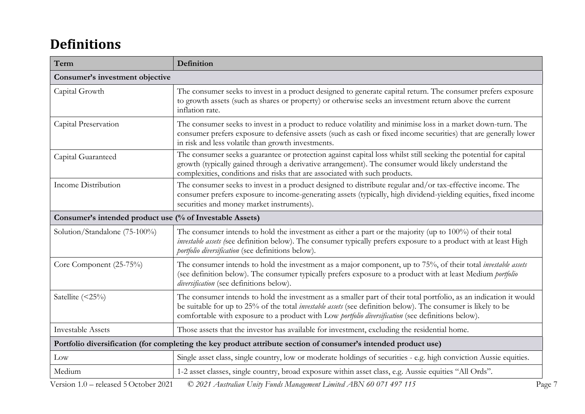# **Definitions**

| Term                                                                                                            | <b>Definition</b>                                                                                                                                                                                                                                                                                                                               |  |
|-----------------------------------------------------------------------------------------------------------------|-------------------------------------------------------------------------------------------------------------------------------------------------------------------------------------------------------------------------------------------------------------------------------------------------------------------------------------------------|--|
| Consumer's investment objective                                                                                 |                                                                                                                                                                                                                                                                                                                                                 |  |
| Capital Growth                                                                                                  | The consumer seeks to invest in a product designed to generate capital return. The consumer prefers exposure<br>to growth assets (such as shares or property) or otherwise seeks an investment return above the current<br>inflation rate.                                                                                                      |  |
| Capital Preservation                                                                                            | The consumer seeks to invest in a product to reduce volatility and minimise loss in a market down-turn. The<br>consumer prefers exposure to defensive assets (such as cash or fixed income securities) that are generally lower<br>in risk and less volatile than growth investments.                                                           |  |
| Capital Guaranteed                                                                                              | The consumer seeks a guarantee or protection against capital loss whilst still seeking the potential for capital<br>growth (typically gained through a derivative arrangement). The consumer would likely understand the<br>complexities, conditions and risks that are associated with such products.                                          |  |
| Income Distribution                                                                                             | The consumer seeks to invest in a product designed to distribute regular and/or tax-effective income. The<br>consumer prefers exposure to income-generating assets (typically, high dividend-yielding equities, fixed income<br>securities and money market instruments).                                                                       |  |
| Consumer's intended product use (% of Investable Assets)                                                        |                                                                                                                                                                                                                                                                                                                                                 |  |
| Solution/Standalone (75-100%)                                                                                   | The consumer intends to hold the investment as either a part or the majority (up to 100%) of their total<br>investable assets (see definition below). The consumer typically prefers exposure to a product with at least High<br>portfolio diversification (see definitions below).                                                             |  |
| Core Component (25-75%)                                                                                         | The consumer intends to hold the investment as a major component, up to 75%, of their total <i>investable assets</i><br>(see definition below). The consumer typically prefers exposure to a product with at least Medium portfolio<br>diversification (see definitions below).                                                                 |  |
| Satellite $(\leq 25\%)$                                                                                         | The consumer intends to hold the investment as a smaller part of their total portfolio, as an indication it would<br>be suitable for up to 25% of the total <i>investable assets</i> (see definition below). The consumer is likely to be<br>comfortable with exposure to a product with Low portfolio diversification (see definitions below). |  |
| <b>Investable Assets</b>                                                                                        | Those assets that the investor has available for investment, excluding the residential home.                                                                                                                                                                                                                                                    |  |
| Portfolio diversification (for completing the key product attribute section of consumer's intended product use) |                                                                                                                                                                                                                                                                                                                                                 |  |
| Low                                                                                                             | Single asset class, single country, low or moderate holdings of securities - e.g. high conviction Aussie equities.                                                                                                                                                                                                                              |  |
| Medium                                                                                                          | 1-2 asset classes, single country, broad exposure within asset class, e.g. Aussie equities "All Ords".                                                                                                                                                                                                                                          |  |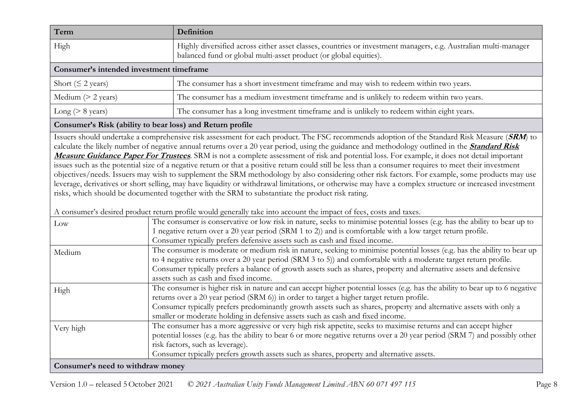| Term                                     | Definition                                                                                                                                                                           |  |
|------------------------------------------|--------------------------------------------------------------------------------------------------------------------------------------------------------------------------------------|--|
| High                                     | Highly diversified across either asset classes, countries or investment managers, e.g. Australian multi-manager<br>balanced fund or global multi-asset product (or global equities). |  |
| Consumer's intended investment timeframe |                                                                                                                                                                                      |  |
| Short ( $\leq$ 2 years)                  | The consumer has a short investment timeframe and may wish to redeem within two years.                                                                                               |  |
| Medium $(> 2 \text{ years})$             | The consumer has a medium investment timeframe and is unlikely to redeem within two years.                                                                                           |  |
| Long ( $> 8$ years)                      | The consumer has a long investment timeframe and is unlikely to redeem within eight years.                                                                                           |  |

#### **Consumer's Risk (ability to bear loss) and Return profile**

Issuers should undertake a comprehensive risk assessment for each product. The FSC recommends adoption of the Standard Risk Measure (**SRM**) to calculate the likely number of negative annual returns over a 20 year period, using the guidance and methodology outlined in the **[Standard Risk](https://protect-eu.mimecast.com/s/pqPaCwVNmtGRQpvMFVpVgu?domain=urldefense.com)  [Measure Guidance Paper For Trustees](https://protect-eu.mimecast.com/s/pqPaCwVNmtGRQpvMFVpVgu?domain=urldefense.com)**. SRM is not a complete assessment of risk and potential loss. For example, it does not detail important issues such as the potential size of a negative return or that a positive return could still be less than a consumer requires to meet their investment objectives/needs. Issuers may wish to supplement the SRM methodology by also considering other risk factors. For example, some products may use leverage, derivatives or short selling, may have liquidity or withdrawal limitations, or otherwise may have a complex structure or increased investment risks, which should be documented together with the SRM to substantiate the product risk rating.

A consumer's desired product return profile would generally take into account the impact of fees, costs and taxes.

| $_{\text{Low}}$ | The consumer is conservative or low risk in nature, seeks to minimise potential losses (e.g. has the ability to bear up to  |  |
|-----------------|-----------------------------------------------------------------------------------------------------------------------------|--|
|                 | 1 negative return over a 20 year period (SRM 1 to 2)) and is comfortable with a low target return profile.                  |  |
|                 | Consumer typically prefers defensive assets such as cash and fixed income.                                                  |  |
| Medium          | The consumer is moderate or medium risk in nature, seeking to minimise potential losses (e.g. has the ability to bear up    |  |
|                 | to 4 negative returns over a 20 year period (SRM 3 to 5)) and comfortable with a moderate target return profile.            |  |
|                 | Consumer typically prefers a balance of growth assets such as shares, property and alternative assets and defensive         |  |
|                 | assets such as cash and fixed income.                                                                                       |  |
| High            | The consumer is higher risk in nature and can accept higher potential losses (e.g. has the ability to bear up to 6 negative |  |
|                 | returns over a 20 year period (SRM 6)) in order to target a higher target return profile.                                   |  |
|                 | Consumer typically prefers predominantly growth assets such as shares, property and alternative assets with only a          |  |
|                 | smaller or moderate holding in defensive assets such as cash and fixed income.                                              |  |
| Very high       | The consumer has a more aggressive or very high risk appetite, seeks to maximise returns and can accept higher              |  |
|                 | potential losses (e.g. has the ability to bear 6 or more negative returns over a 20 year period (SRM 7) and possibly other  |  |
|                 | risk factors, such as leverage).                                                                                            |  |
|                 | Consumer typically prefers growth assets such as shares, property and alternative assets.                                   |  |
|                 | Consumer's need to withdraw money                                                                                           |  |